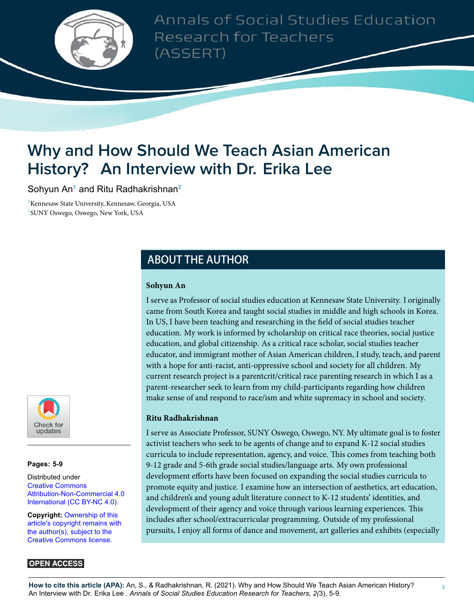

Annals of Social Studies Education Research for Teachers (ASSERT)

# **Why and How Should We Teach Asian American History? An Interview with Dr. Erika Lee**

Sohyun An**<sup>1</sup>** and Ritu Radhakrishnan**<sup>2</sup>**

<sup>1</sup> Kennesaw State University, Kennesaw, Georgia, USA 2 SUNY Oswego, Oswego, New York, USA

## **ABOUT THE AUTHOR**

#### **Sohyun An**

I serve as Professor of social studies education at Kennesaw State University. I originally came from South Korea and taught social studies in middle and high schools in Korea. In US, I have been teaching and researching in the field of social studies teacher education. My work is informed by scholarship on critical race theories, social justice education, and global citizenship. As a critical race scholar, social studies teacher educator, and immigrant mother of Asian American children, I study, teach, and parent with a hope for anti-racist, anti-oppressive school and society for all children. My current research project is a parentcrit/critical race parenting research in which I as a parent-researcher seek to learn from my child-participants regarding how children make sense of and respond to race/ism and white supremacy in school and society.

#### **Ritu Radhakrishnan**

I serve as Associate Professor, SUNY Oswego, Oswego, NY. My ultimate goal is to foster activist teachers who seek to be agents of change and to expand K-12 social studies curricula to include representation, agency, and voice. This comes from teaching both 9-12 grade and 5-6th grade social studies/language arts. My own professional development efforts have been focused on expanding the social studies curricula to promote equity and justice. I examine how an intersection of aesthetics, art education, and children's and young adult literature connect to K-12 students' identities, and development of their agency and voice through various learning experiences. This includes after school/extracurricular programming. Outside of my professional pursuits, I enjoy all forms of dance and movement, art galleries and exhibits (especially



#### **Pages: 5[-9](#page-4-0)**

Distributed under [Creative Commons](https://creativecommons.org/licenses/by-nc/4.0/) [Attribution-Non-Commercial 4.0](https://creativecommons.org/licenses/by-nc/4.0/) [International \(CC BY-NC 4.0\).](https://creativecommons.org/licenses/by-nc/4.0/)

**Copyright:** [Ownership of this](https://creativecommons.org/licenses/) [article's copyright remains with](https://creativecommons.org/licenses/) [the author\(s\), subject to the](https://creativecommons.org/licenses/) [Creative Commons license.](https://creativecommons.org/licenses/)

#### **OPEN ACCESS**

**How to cite this article (APA):** An, S., & Radhakrishnan, R. (2021). Why and How Should We Teach Asian American History? An Interview with Dr. Erika Lee . *Annals of Social Studies Education Research for Teachers, 2(*3), 5-9.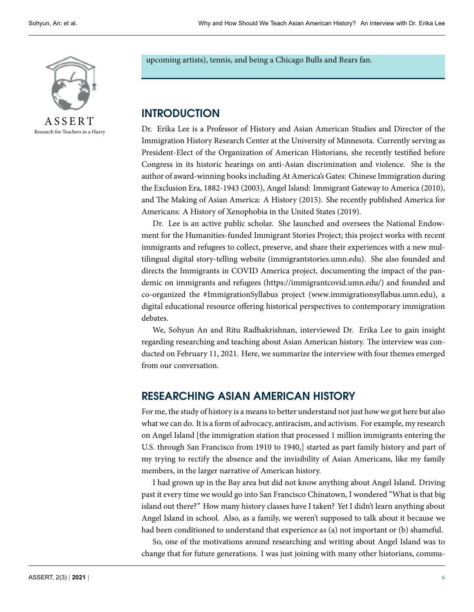

A S S E R T Research for Teachers in a Hurry upcoming artists), tennis, and being a Chicago Bulls and Bears fan.

### **INTRODUCTION**

Dr. Erika Lee is a Professor of History and Asian American Studies and Director of the Immigration History Research Center at the University of Minnesota. Currently serving as President-Elect of the Organization of American Historians, she recently testified before Congress in its historic hearings on anti-Asian discrimination and violence. She is the author of award-winning books including At America's Gates: Chinese Immigration during the Exclusion Era, 1882-1943 (2003), Angel Island: Immigrant Gateway to America (2010), and The Making of Asian America: A History (2015). She recently published America for Americans: A History of Xenophobia in the United States (2019).

Dr. Lee is an active public scholar. She launched and oversees the National Endowment for the Humanities-funded Immigrant Stories Project; this project works with recent immigrants and refugees to collect, preserve, and share their experiences with a new multilingual digital story-telling website (immigrantstories.umn.edu). She also founded and directs the Immigrants in COVID America project, documenting the impact of the pandemic on immigrants and refugees (https://immigrantcovid.umn.edu/) and founded and co-organized the #ImmigrationSyllabus project (www.immigrationsyllabus.umn.edu), a digital educational resource offering historical perspectives to contemporary immigration debates.

We, Sohyun An and Ritu Radhakrishnan, interviewed Dr. Erika Lee to gain insight regarding researching and teaching about Asian American history. The interview was conducted on February 11, 2021. Here, we summarize the interview with four themes emerged from our conversation.

### **RESEARCHING ASIAN AMERICAN HISTORY**

For me, the study of history is a means to better understand not just how we got here but also what we can do. It is a form of advocacy, antiracism, and activism. For example, my research on Angel Island [the immigration station that processed 1 million immigrants entering the U.S. through San Francisco from 1910 to 1940,] started as part family history and part of my trying to rectify the absence and the invisibility of Asian Americans, like my family members, in the larger narrative of American history.

I had grown up in the Bay area but did not know anything about Angel Island. Driving past it every time we would go into San Francisco Chinatown, I wondered "What is that big island out there?" How many history classes have I taken? Yet I didn't learn anything about Angel Island in school. Also, as a family, we weren't supposed to talk about it because we had been conditioned to understand that experience as (a) not important or (b) shameful.

So, one of the motivations around researching and writing about Angel Island was to change that for future generations. I was just joining with many other historians, commu-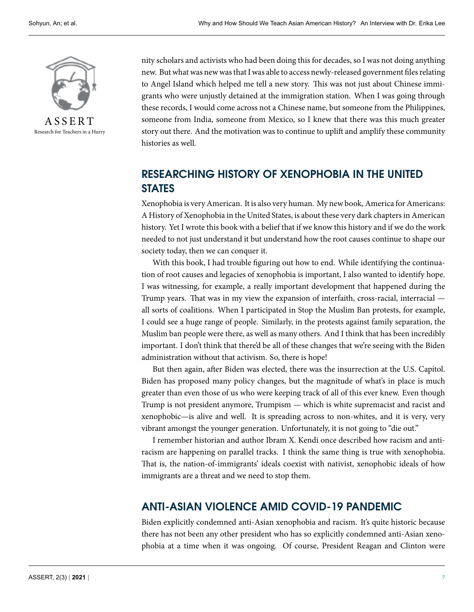

Research for Teachers in a Hurry

nity scholars and activists who had been doing this for decades, so I was not doing anything new. But what was new was that I was able to access newly-released government files relating to Angel Island which helped me tell a new story. This was not just about Chinese immigrants who were unjustly detained at the immigration station. When I was going through these records, I would come across not a Chinese name, but someone from the Philippines, someone from India, someone from Mexico, so I knew that there was this much greater story out there. And the motivation was to continue to uplift and amplify these community histories as well.

# **RESEARCHING HISTORY OF XENOPHOBIA IN THE UNITED STATES**

Xenophobia is very American. It is also very human. My new book, America for Americans: A History of Xenophobia in the United States, is about these very dark chapters in American history. Yet I wrote this book with a belief that if we know this history and if we do the work needed to not just understand it but understand how the root causes continue to shape our society today, then we can conquer it.

With this book, I had trouble figuring out how to end. While identifying the continuation of root causes and legacies of xenophobia is important, I also wanted to identify hope. I was witnessing, for example, a really important development that happened during the Trump years. That was in my view the expansion of interfaith, cross-racial, interracial all sorts of coalitions. When I participated in Stop the Muslim Ban protests, for example, I could see a huge range of people. Similarly, in the protests against family separation, the Muslim ban people were there, as well as many others. And I think that has been incredibly important. I don't think that there'd be all of these changes that we're seeing with the Biden administration without that activism. So, there is hope!

But then again, after Biden was elected, there was the insurrection at the U.S. Capitol. Biden has proposed many policy changes, but the magnitude of what's in place is much greater than even those of us who were keeping track of all of this ever knew. Even though Trump is not president anymore, Trumpism — which is white supremacist and racist and xenophobic—is alive and well. It is spreading across to non-whites, and it is very, very vibrant amongst the younger generation. Unfortunately, it is not going to "die out."

I remember historian and author Ibram X. Kendi once described how racism and antiracism are happening on parallel tracks. I think the same thing is true with xenophobia. That is, the nation-of-immigrants' ideals coexist with nativist, xenophobic ideals of how immigrants are a threat and we need to stop them.

### **ANTI-ASIAN VIOLENCE AMID COVID-19 PANDEMIC**

Biden explicitly condemned anti-Asian xenophobia and racism. It's quite historic because there has not been any other president who has so explicitly condemned anti-Asian xenophobia at a time when it was ongoing. Of course, President Reagan and Clinton were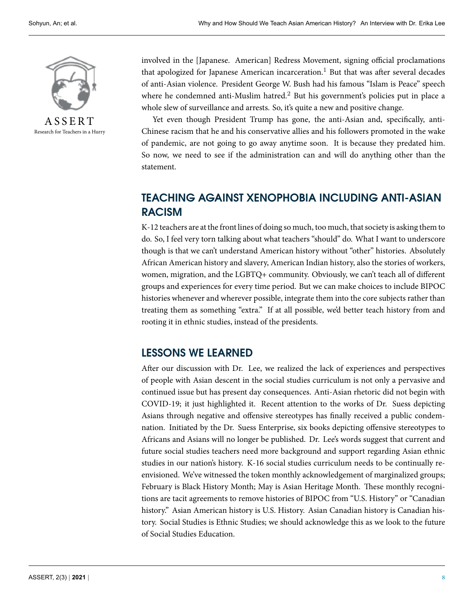

A S S E R T Research for Teachers in a Hurry

involved in the [Japanese. American] Redress Movement, signing official proclamations that apologized for Japanese American incarceration.<sup>1</sup> But that was after several decades of anti-Asian violence. President George W. Bush had his famous "Islam is Peace" speech where he condemned anti-Muslim hatred.<sup>2</sup> But his government's policies put in place a whole slew of surveillance and arrests. So, it's quite a new and positive change.

Yet even though President Trump has gone, the anti-Asian and, specifically, anti-Chinese racism that he and his conservative allies and his followers promoted in the wake of pandemic, are not going to go away anytime soon. It is because they predated him. So now, we need to see if the administration can and will do anything other than the statement.

# **TEACHING AGAINST XENOPHOBIA INCLUDING ANTI-ASIAN RACISM**

K-12 teachers are at the front lines of doing so much, too much, that society is asking them to do. So, I feel very torn talking about what teachers "should" do. What I want to underscore though is that we can't understand American history without "other" histories. Absolutely African American history and slavery, American Indian history, also the stories of workers, women, migration, and the LGBTQ+ community. Obviously, we can't teach all of different groups and experiences for every time period. But we can make choices to include BIPOC histories whenever and wherever possible, integrate them into the core subjects rather than treating them as something "extra." If at all possible, we'd better teach history from and rooting it in ethnic studies, instead of the presidents.

### **LESSONS WE LEARNED**

After our discussion with Dr. Lee, we realized the lack of experiences and perspectives of people with Asian descent in the social studies curriculum is not only a pervasive and continued issue but has present day consequences. Anti-Asian rhetoric did not begin with COVID-19; it just highlighted it. Recent attention to the works of Dr. Suess depicting Asians through negative and offensive stereotypes has finally received a public condemnation. Initiated by the Dr. Suess Enterprise, six books depicting offensive stereotypes to Africans and Asians will no longer be published. Dr. Lee's words suggest that current and future social studies teachers need more background and support regarding Asian ethnic studies in our nation's history. K-16 social studies curriculum needs to be continually reenvisioned. We've witnessed the token monthly acknowledgement of marginalized groups; February is Black History Month; May is Asian Heritage Month. These monthly recognitions are tacit agreements to remove histories of BIPOC from "U.S. History" or "Canadian history." Asian American history is U.S. History. Asian Canadian history is Canadian history. Social Studies is Ethnic Studies; we should acknowledge this as we look to the future of Social Studies Education.